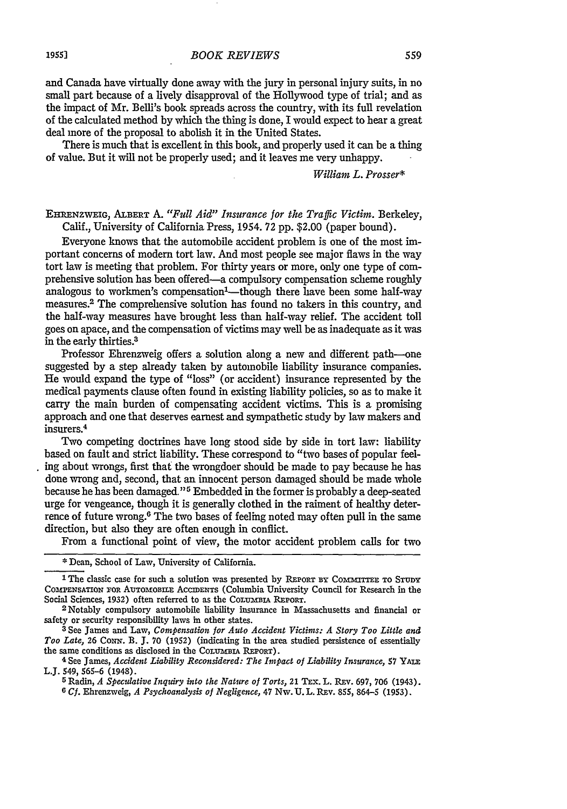and Canada have virtually done away with the jury in personal injury suits, in no small part because of a lively disapproval of the Hollywood type of trial; and as the impact of Mr. Belli's book spreads across the country, with its full revelation of the calculated method by which the thing is done, I would expect to hear a great deal more of the proposal to abolish it in the United States.

There is much that is excellent in this book, and properly used it can be a thing of value. But it will not be properly used; and it leaves me very unhappy.

*William L. Prosser\**

## **EHRENZWEIG,** ALBERT A. *"Full Aid" Insurance for the Traffic Victim.* Berkeley, Calif., University of California Press, 1954. **72** pp. \$2.00 (paper bound).

Everyone knows that the automobile accident problem is one of the most important concerns of modem tort law. And most people see major flaws in the way tort law is meeting that problem. For thirty years or more, only one type of comprehensive solution has been offered-a compulsory compensation scheme roughly analogous to workmen's compensation<sup>1</sup>—though there have been some half-way measures.<sup>2</sup> The comprehensive solution has found no takers in this country, and the half-way measures have brought less than half-way relief. The accident toll goes on apace, and the compensation of victims may well be as inadequate as it was in the early thirties.<sup>3</sup>

Professor Ehrenzweig offers a solution along a new and different path---one suggested by a step already taken by automobile liability insurance companies. He would expand the type of "loss" (or accident) insurance represented by the medical payments clause often found in existing liability policies, so as to make it carry the main burden of compensating accident victims. This is a promising approach and one that deserves earnest and sympathetic study by law makers and insurers.<sup>4</sup>

Two competing doctrines have long stood side by side in tort law: liability based on fault and strict liability. These correspond to "two bases of popular feeling about wrongs, first that the wrongdoer should be made to pay because he has done wrong and, second, that an innocent person damaged should be made whole because he has been damaged." 5 Embedded in the former is probably a deep-seated urge for vengeance, though it is generally clothed in the raiment of healthy deterrence of future wrong.<sup>6</sup> The two bases of feeling noted may often pull in the same direction, but also they are often enough in conflict.

From a functional point of view, the motor accident problem calls for two

**<sup>5</sup>**Radin, *A Speculative Inquiry into the Nature of Torts,* 21 TEx. L. Rxv. 697, 706 (1943). *<sup>G</sup>Cf.* Ehrenzweig, *A Psychoanalysis of Negligence,* 47 Nw. U. L. REv. 855, 864-5 (1953).

**<sup>\*</sup>** Dean, School of Law, University of California.

<sup>1</sup> The classic case for such a solution was presented by **REPORT BY** COMMrEF **ro STUDY COMPENSATION** FOR **ADTOMfOBILE** ACCIDENTS (Columbia University Council for Research in the Social Sciences, 1932) often referred to as the COLUMBIA REPORT.<br><sup>2</sup> Notably compulsory automobile liability insurance in Massachusetts and financial or

safety or security responsibility laws in other states.

**<sup>3</sup>** See James and Law, *Compensation for Auto Accident Victims: A Story Too Little and Too Late,* **26** Coux. B. **J.** 70 (1952) (indicating in the area studied persistence of essentially the same conditions as disclosed in the **COLumBiA** REPORT).

<sup>4</sup> See James, *Accident Liability Reconsidered: The Impact of Liability Insurance,* 57 YAu= L.J. 549, 565-6 (1948).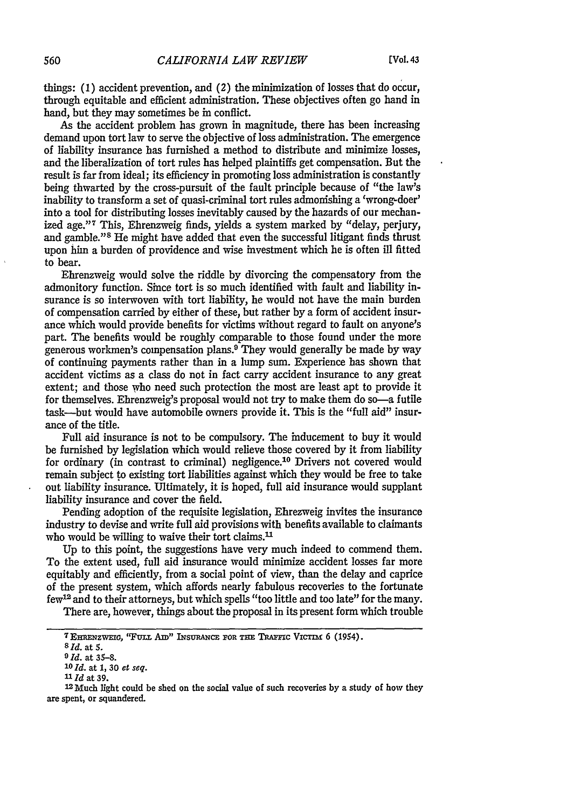things: (1) accident prevention, and *(2)* the minimization of losses that do occur, through equitable and efficient administration. These objectives often go hand in hand, but they may sometimes be in conflict.

As the accident problem has grown in magnitude, there has been increasing demand upon tort law to serve the objective of loss administration. The emergence of liability insurance has furnished a method to distribute and minimize losses, and the liberalization of tort rules has helped plaintiffs get compensation. But the result is far from ideal; its efficiency in promoting loss administration is constantly being thwarted by the cross-pursuit of the fault principle because of "the law's inability to transform a set of quasi-criminal tort rules admonishing a 'wrong-doer' into a tool for distributing losses inevitably caused by the hazards of our mechanized age."<sup>7</sup> This, Ehrenzweig finds, yields a system marked by "delay, perjury, and gamble."<sup>8</sup> He might have added that even the successful litigant finds thrust upon him a burden of providence and wise investment which he is often ill fitted to bear.

Ehrenzweig would solve the riddle by divorcing the compensatory from the admonitory function. Since tort is so much identified with fault and liability insurance is so interwoven with tort liability, he would not have the main burden of compensation carried by either of these, but rather by a form of accident insurance which would provide benefits for victims without regard to fault on anyone's part. The benefits would be roughly comparable to those found under the more generous workmen's compensation plans.9 They would generally be made by way of continuing payments rather than in a lump sum. Experience has shown that accident victims as a class do not in fact carry accident insurance to any great extent; and those who need such protection the most are least apt to provide it for themselves. Ehrenzweig's proposal would not try to make them do so-a futile task-but would have automobile owners provide it. This is the "full aid" insurance of the title.

Full aid insurance is not to be compulsory. The inducement to buy it would be furnished by legislation which would relieve those covered by it from liability for ordinary (in contrast to criminal) negligence.<sup>10</sup> Drivers not covered would remain subject to existing tort liabilities against which they would be free to take out liability insurance. Ultimately, it is hoped, full aid insurance would supplant liability insurance and cover the field.

Pending adoption of the requisite legislation, Ehrezweig invites the insurance industry to devise and write full aid provisions with benefits available to claimants who would be willing to waive their tort claims.<sup>11</sup>

Up to this point, the suggestions have very much indeed to commend them. To the extent used, full aid insurance would minimize accident losses far more equitably and efficiently, from a social point of view, than the delay and caprice of the present system, which affords nearly fabulous recoveries to the fortunate few12 and to their attorneys, but which spells "too little and too late" for the many.

There are, however, things about the proposal in its present form which trouble

12 Much light could be shed on the social value of such recoveries by a study of how they are spent, or squandered.

**<sup>7</sup> EHENzwEiG, "FULL** *Am"* INSURANCE **FOR Tim TnRic Vicm!** 6 (1954). *<sup>8</sup> ld.* at **5.**

*<sup>9</sup> 1d.* at **35-8.**

*<sup>&#</sup>x27;Old.* at **1,** 30 *et seq.*

*<sup>11</sup>Id* at 39.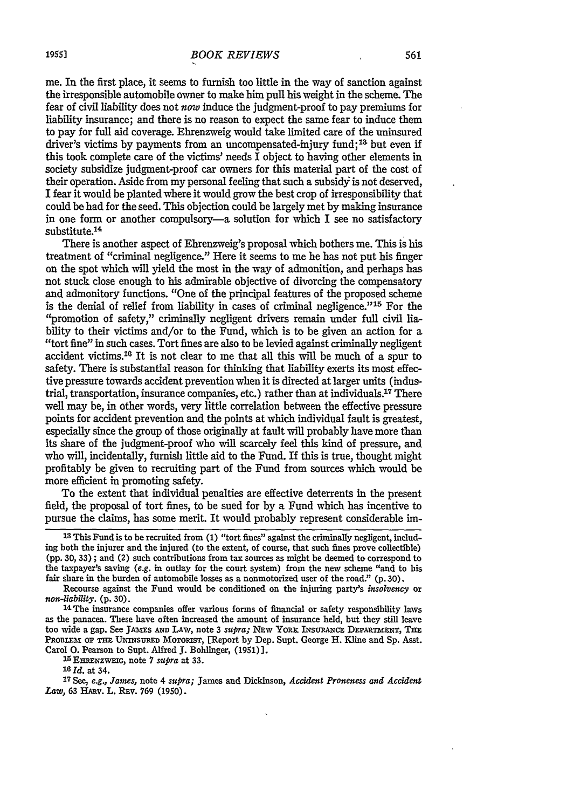me. In the first place, it seems to furnish too little in the way of sanction against the irresponsible automobile owner to make him pull his weight in the scheme. The fear of civil liability does not *now* induce the judgment-proof to pay premiums for liability insurance; and there is no reason to expect the same fear to induce them to pay for full aid coverage. Ehrenzweig would take limited care of the uninsured driver's victims by payments from an uncompensated-injury fund;<sup>13</sup> but even if this took complete care of the victims' needs  $\overline{I}$  object to having other elements in society subsidize judgment-proof car owners for this material part of the cost of their operation. Aside from my personal feeling that such a subsidy is not deserved, I fear it would be planted where it would grow the best crop of irresponsibility that could be had for the seed. This objection could be largely met by making insurance in one form or another compulsory-a solution for which I see no satisfactory

There is another aspect of Ehrenzweig's proposal which bothers me. This is his treatment of "criminal negligence." Here it seems to me he has not put his finger on the spot which will yield the most in the way of admonition, and perhaps has not stuck close enough to his admirable objective of divorcing the compensatory and admonitory functions. "One of the principal features of the proposed scheme is the denial of relief from liability in cases of criminal negligence." 15 For the "promotion of safety," criminally negligent drivers remain under full civil liability to their victims and/or to the Fund, which is to be given an action for a "tort fine" in such cases. Tort fines are also to be levied against criminally negligent accident victims.16 It is not clear to me that all this will be much of a spur to safety. There is substantial reason for thinking that liability exerts its most effective pressure towards accident prevention when it is directed at larger units (industrial, transportation, insurance companies, etc.) rather than at individuals. 17 There well may be, in other words, very little correlation between the effective pressure points for accident prevention and the points at which individual fault is greatest, especially since the group of those originally at fault will probably have more than its share of the judgment-proof who will scarcely feel this kind of pressure, and who will, incidentally, furnish little aid to the Fund. If this is true, thought might profitably be given to recruiting part of the Fund from sources which would be more efficient in promoting safety.

To the extent that individual penalties are effective deterrents in the present field, the proposal of tort fines, to be sued for by a Fund which has incentive to pursue the claims, has some merit. It would probably represent considerable im-

*16 1d.* at 34.

**<sup>17</sup>**See, *e.g., James,* note 4 *supra;* James and Dickinson, *Accident Proneness and Accident* Law, 63 HARV. L. REV. 769 (1950).

substitute.<sup>14</sup>

**<sup>13</sup>** This Fund is to be recruited from (1) "tort fines" against the criminally negligent, including both the injurer and the injured (to the extent, of course, that such fines prove collectible) (pp. 30, 33) ; and (2) such contributions from tax sources as might be deemed to correspond to the taxpayer's saving *(e.g.* in outlay for the court system) from the new scheme "and to his fair share in the burden of automobile losses as a nonmotorized user of the road." (p. 30).

Recourse against the Fund would be conditioned on the injuring party's *insolvency* or *non-liability.* (p. 30). 14 The insurance companies offer various forms of financial or safety responsibility laws

as the panacea. These have often increased the amount of insurance held, but they still leave too wide a gap. See JAMES AND LAW, note 3 *supra;* NEW YORK INSURANCE DEPARTMENT, THE PROBLEM OF THE UNINSURED MOTORIST, [Report by Dep. Supt. George H. Kline and Sp. Asst. Carol **0.** Pearson to Supt. Alfred **J.** Bohlinger, (1951)]. **<sup>1</sup> 5 EnRNZWEiG,** note 7 *supra* at 33.